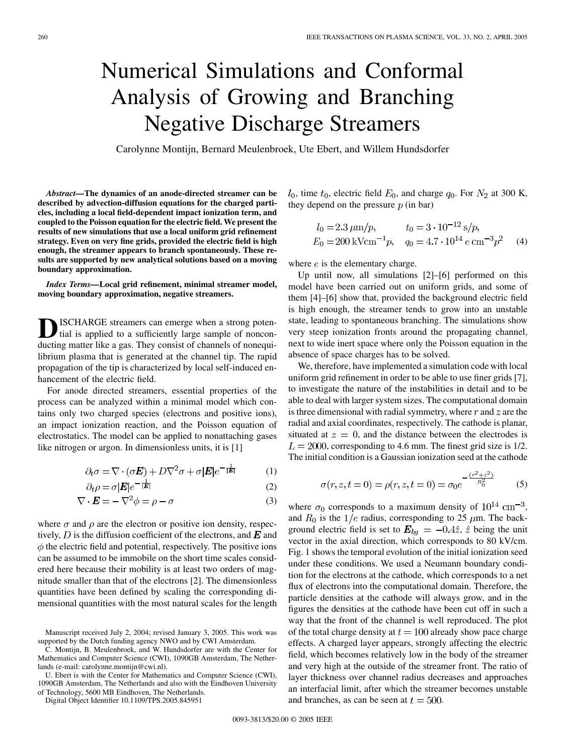## Numerical Simulations and Conformal Analysis of Growing and Branching Negative Discharge Streamers

Carolynne Montijn, Bernard Meulenbroek, Ute Ebert, and Willem Hundsdorfer

*Abstract—***The dynamics of an anode-directed streamer can be described by advection-diffusion equations for the charged particles, including a local field-dependent impact ionization term, and coupled to the Poisson equation for the electric field. We present the results of new simulations that use a local uniform grid refinement strategy. Even on very fine grids, provided the electric field is high enough, the streamer appears to branch spontaneously. These results are supported by new analytical solutions based on a moving boundary approximation.**

*Index Terms—***Local grid refinement, minimal streamer model, moving boundary approximation, negative streamers.**

**D**ISCHARGE streamers can emerge when a strong potential is applied to a sufficiently large sample of nonconducting matter like a gas. They consist of channels of nonequilibrium plasma that is generated at the channel tip. The rapid propagation of the tip is characterized by local self-induced enhancement of the electric field.

For anode directed streamers, essential properties of the process can be analyzed within a minimal model which contains only two charged species (electrons and positive ions), an impact ionization reaction, and the Poisson equation of electrostatics. The model can be applied to nonattaching gases like nitrogen or argon. In dimensionless units, it is [\[1](#page-1-0)]

$$
\partial_t \sigma = \nabla \cdot (\sigma \mathbf{E}) + D \nabla^2 \sigma + \sigma |\mathbf{E}| e^{-\frac{\tau}{|\mathbf{E}|}} \tag{1}
$$

$$
\partial_t \rho = \sigma |\mathbf{E}| e^{-\frac{1}{|\mathbf{E}|}} \tag{2}
$$

$$
\nabla \cdot \boldsymbol{E} = -\nabla^2 \phi = \rho - \sigma \tag{3}
$$

where  $\sigma$  and  $\rho$  are the electron or positive ion density, respectively, D is the diffusion coefficient of the electrons, and  $\bm{E}$  and  $\phi$  the electric field and potential, respectively. The positive ions can be assumed to be immobile on the short time scales considered here because their mobility is at least two orders of magnitude smaller than that of the electrons [[2\]](#page-1-0). The dimensionless quantities have been defined by scaling the corresponding dimensional quantities with the most natural scales for the length

U. Ebert is with the Center for Mathematics and Computer Science (CWI), 1090GB Amsterdam, The Netherlands and also with the Eindhoven University of Technology, 5600 MB Eindhoven, The Netherlands.

Digital Object Identifier 10.1109/TPS.2005.845951

 $l_0$ , time  $t_0$ , electric field  $E_0$ , and charge  $q_0$ . For  $N_2$  at 300 K, they depend on the pressure  $p$  (in bar)

$$
l_0 = 2.3 \,\mu\text{m}/p,
$$
  $t_0 = 3 \cdot 10^{-12} \,\text{s}/p,$   
\n $E_0 = 200 \,\text{kVcm}^{-1}p,$   $q_0 = 4.7 \cdot 10^{14} \,\text{e cm}^{-3}p^2$  (4)

where  $e$  is the elementary charge.

Up until now, all simulations [\[2](#page-1-0)]–[[6\]](#page-1-0) performed on this model have been carried out on uniform grids, and some of them [[4\]](#page-1-0)–[\[6](#page-1-0)] show that, provided the background electric field is high enough, the streamer tends to grow into an unstable state, leading to spontaneous branching. The simulations show very steep ionization fronts around the propagating channel, next to wide inert space where only the Poisson equation in the absence of space charges has to be solved.

We, therefore, have implemented a simulation code with local uniform grid refinement in order to be able to use finer grids [[7\]](#page-1-0), to investigate the nature of the instabilities in detail and to be able to deal with larger system sizes. The computational domain is three dimensional with radial symmetry, where  $r$  and  $z$  are the radial and axial coordinates, respectively. The cathode is planar, situated at  $z = 0$ , and the distance between the electrodes is  $L = 2000$ , corresponding to 4.6 mm. The finest grid size is 1/2. The initial condition is a Gaussian ionization seed at the cathode

$$
\sigma(r, z, t = 0) = \rho(r, z, t = 0) = \sigma_0 e^{-\frac{(r^2 + z^2)}{R_0^2}}
$$
(5)

where  $\sigma_0$  corresponds to a maximum density of  $10^{14}$  cm<sup>-3</sup>, and  $R_0$  is the  $1/e$  radius, corresponding to 25  $\mu$ m. The background electric field is set to  $E_{bg} = -0.4\hat{z}$ ,  $\hat{z}$  being the unit vector in the axial direction, which corresponds to 80 kV/cm. Fig. 1 shows the temporal evolution of the initial ionization seed under these conditions. We used a Neumann boundary condition for the electrons at the cathode, which corresponds to a net flux of electrons into the computational domain. Therefore, the particle densities at the cathode will always grow, and in the figures the densities at the cathode have been cut off in such a way that the front of the channel is well reproduced. The plot of the total charge density at  $t = 100$  already show pace charge effects. A charged layer appears, strongly affecting the electric field, which becomes relatively low in the body of the streamer and very high at the outside of the streamer front. The ratio of layer thickness over channel radius decreases and approaches an interfacial limit, after which the streamer becomes unstable and branches, as can be seen at  $t = 500$ .

Manuscript received July 2, 2004; revised January 3, 2005. This work was supported by the Dutch funding agency NWO and by CWI Amsterdam.

C. Montijn, B. Meulenbroek, and W. Hundsdorfer are with the Center for Mathematics and Computer Science (CWI), 1090GB Amsterdam, The Netherlands (e-mail: carolynne.montijn@cwi.nl).